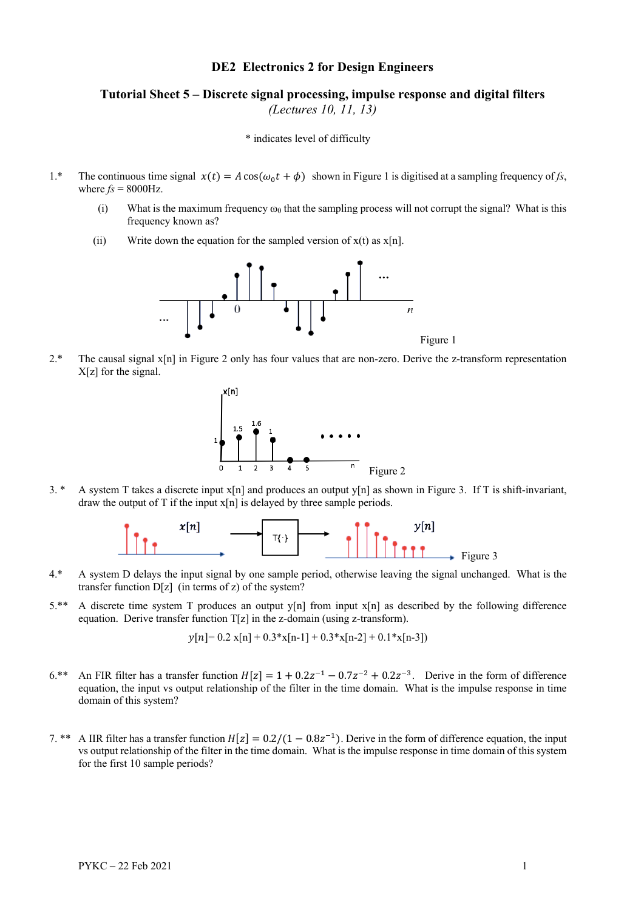## **DE2 Electronics 2 for Design Engineers**

## **Tutorial Sheet 5 – Discrete signal processing, impulse response and digital filters** *(Lectures 10, 11, 13)*

\* indicates level of difficulty

- 1.\* The continuous time signal  $x(t) = A \cos(\omega_0 t + \phi)$  shown in Figure 1 is digitised at a sampling frequency of *fs*, where  $f_s = 8000 \text{Hz}$ .
	- (i) What is the maximum frequency  $\omega_0$  that the sampling process will not corrupt the signal? What is this frequency known as?
	- (ii) Write down the equation for the sampled version of  $x(t)$  as  $x[n]$ .



2.\* The causal signal x[n] in Figure 2 only has four values that are non-zero. Derive the z-transform representation X[z] for the signal.



3. \* A system T takes a discrete input x[n] and produces an output y[n] as shown in Figure 3. If T is shift-invariant, draw the output of T if the input  $x[n]$  is delayed by three sample periods.



- 4.\* A system D delays the input signal by one sample period, otherwise leaving the signal unchanged. What is the transfer function D[z] (in terms of z) of the system?
- 5.\*\* A discrete time system T produces an output y[n] from input x[n] as described by the following difference equation. Derive transfer function  $T[z]$  in the z-domain (using z-transform).

 $\nu[n] = 0.2 \text{ x}[n] + 0.3 \text{ x}[n-1] + 0.3 \text{ x}[n-2] + 0.1 \text{ x}[n-3]$ 

- 6.\*\* An FIR filter has a transfer function  $H[z] = 1 + 0.2z^{-1} 0.7z^{-2} + 0.2z^{-3}$ . Derive in the form of difference equation, the input vs output relationship of the filter in the time domain. What is the impulse response in time domain of this system?
- 7. \*\* A IIR filter has a transfer function  $H[z] = 0.2/(1 0.8z^{-1})$ . Derive in the form of difference equation, the input vs output relationship of the filter in the time domain. What is the impulse response in time domain of this system for the first 10 sample periods?